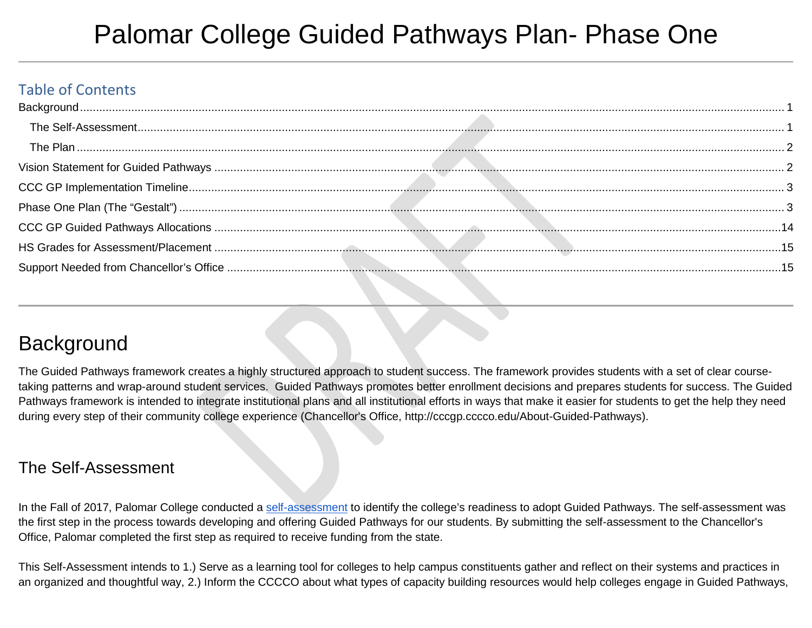# Palomar College Guided Pathways Plan- Phase One

#### Table of Contents

## <span id="page-0-0"></span>**Background**

The Guided Pathways framework creates a highly structured approach to student success. The framework provides students with a set of clear coursetaking patterns and wrap-around student services. Guided Pathways promotes better enrollment decisions and prepares students for success. The Guided Pathways framework is intended to integrate institutional plans and all institutional efforts in ways that make it easier for students to get the help they need during every step of their community college experience (Chancellor's Office, http://cccgp.cccco.edu/About-Guided-Pathways).

#### <span id="page-0-1"></span>The Self-Assessment

In the Fall of 2017, Palomar College conducted a [self-assessment](https://docs.google.com/document/d/1i6pp7ZOOnZfzJh3nyqey_iU-x5RorpXiy2x_T7ogy8g/edit#heading=h.gjdgxs) to identify the college's readiness to adopt Guided Pathways. The self-assessment was the first step in the process towards developing and offering Guided Pathways for our students. By submitting the self-assessment to the Chancellor's Office, Palomar completed the first step as required to receive funding from the state.

This Self-Assessment intends to 1.) Serve as a learning tool for colleges to help campus constituents gather and reflect on their systems and practices in an organized and thoughtful way, 2.) Inform the CCCCO about what types of capacity building resources would help colleges engage in Guided Pathways,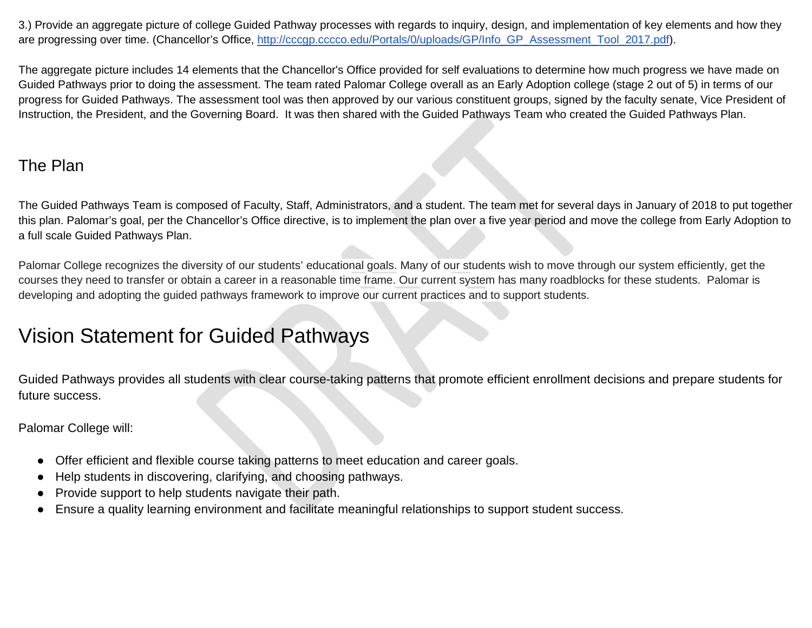3.) Provide an aggregate picture of college Guided Pathway processes with regards to inquiry, design, and implementation of key elements and how they are progressing over time. (Chancellor's Office, [http://cccgp.cccco.edu/Portals/0/uploads/GP/Info\\_GP\\_Assessment\\_Tool\\_2017.pdf\)](http://cccgp.cccco.edu/Portals/0/uploads/GP/Info_GP_Assessment_Tool_2017.pdf).

The aggregate picture includes 14 elements that the Chancellor's Office provided for self evaluations to determine how much progress we have made on Guided Pathways prior to doing the assessment. The team rated Palomar College overall as an Early Adoption college (stage 2 out of 5) in terms of our progress for Guided Pathways. The assessment tool was then approved by our various constituent groups, signed by the faculty senate, Vice President of Instruction, the President, and the Governing Board. It was then shared with the Guided Pathways Team who created the Guided Pathways Plan.

#### <span id="page-1-0"></span>The Plan

The Guided Pathways Team is composed of Faculty, Staff, Administrators, and a student. The team met for several days in January of 2018 to put together this plan. Palomar's goal, per the Chancellor's Office directive, is to implement the plan over a five year period and move the college from Early Adoption to a full scale Guided Pathways Plan.

Palomar College recognizes the diversity of our students' educational goals. Many of our students wish to move through our system efficiently, get the courses they need to transfer or obtain a career in a reasonable time frame. Our current system has many roadblocks for these students. Palomar is developing and adopting the guided pathways framework to improve our current practices and to support students.

#### <span id="page-1-1"></span>Vision Statement for Guided Pathways

Guided Pathways provides all students with clear course-taking patterns that promote efficient enrollment decisions and prepare students for future success.

Palomar College will:

- Offer efficient and flexible course taking patterns to meet education and career goals.
- Help students in discovering, clarifying, and choosing pathways.
- Provide support to help students navigate their path.
- Ensure a quality learning environment and facilitate meaningful relationships to support student success.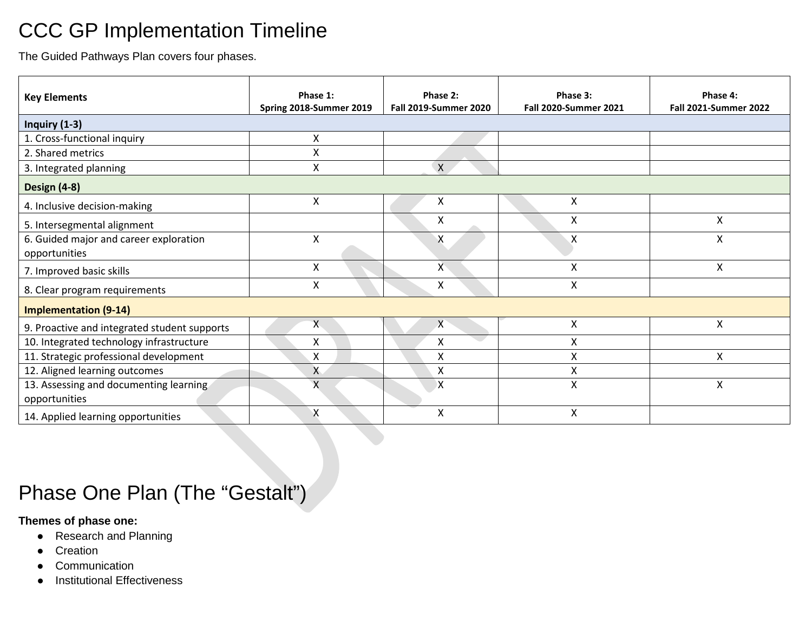### <span id="page-2-0"></span>CCC GP Implementation Timeline

The Guided Pathways Plan covers four phases.

| <b>Key Elements</b>                          | Phase 1:<br>Spring 2018-Summer 2019 | Phase 2:<br><b>Fall 2019-Summer 2020</b> | Phase 3:<br><b>Fall 2020-Summer 2021</b> | Phase 4:<br><b>Fall 2021-Summer 2022</b> |
|----------------------------------------------|-------------------------------------|------------------------------------------|------------------------------------------|------------------------------------------|
| Inquiry (1-3)                                |                                     |                                          |                                          |                                          |
| 1. Cross-functional inquiry                  | X                                   |                                          |                                          |                                          |
| 2. Shared metrics                            | X                                   |                                          |                                          |                                          |
| 3. Integrated planning                       | Χ                                   | X                                        |                                          |                                          |
| Design (4-8)                                 |                                     |                                          |                                          |                                          |
| 4. Inclusive decision-making                 | X                                   | X                                        | X                                        |                                          |
| 5. Intersegmental alignment                  |                                     | X                                        | Χ                                        | X                                        |
| 6. Guided major and career exploration       | X                                   | X                                        | X                                        | $\pmb{\mathsf{X}}$                       |
| opportunities                                |                                     |                                          |                                          |                                          |
| 7. Improved basic skills                     | X                                   | $\mathsf{X}$                             | Χ                                        | X                                        |
| 8. Clear program requirements                | X                                   | X                                        | X                                        |                                          |
| <b>Implementation (9-14)</b>                 |                                     |                                          |                                          |                                          |
| 9. Proactive and integrated student supports | Χ                                   | $\chi$                                   | X                                        | Χ                                        |
| 10. Integrated technology infrastructure     | Χ                                   | X                                        | Χ                                        |                                          |
| 11. Strategic professional development       | X                                   | Χ                                        | Χ                                        | X                                        |
| 12. Aligned learning outcomes                | X                                   | X                                        | Χ                                        |                                          |
| 13. Assessing and documenting learning       | $\mathsf{X}$                        | χ                                        | Χ                                        | Χ                                        |
| opportunities                                |                                     |                                          |                                          |                                          |
| 14. Applied learning opportunities           | Χ                                   | X                                        | Χ                                        |                                          |

## <span id="page-2-1"></span>Phase One Plan (The "Gestalt")

#### **Themes of phase one:**

- Research and Planning
- Creation
- Communication
- Institutional Effectiveness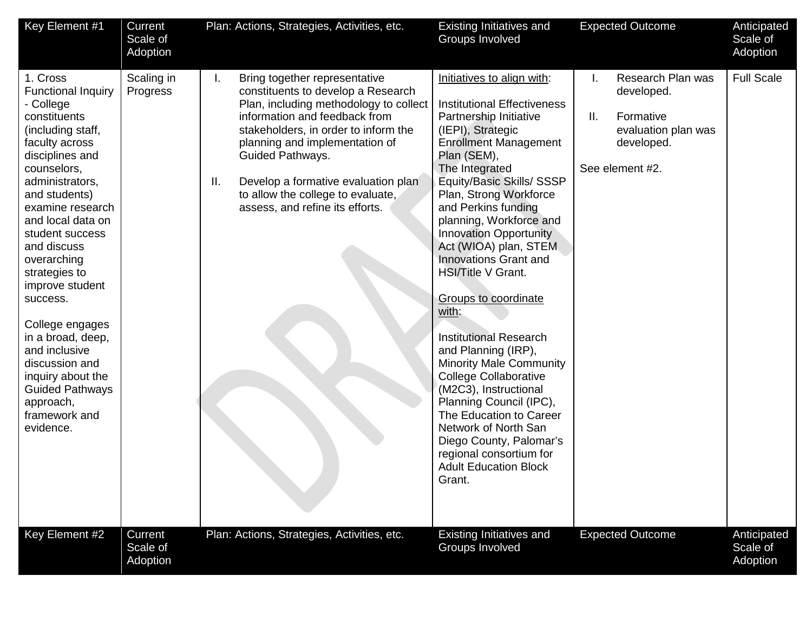| Key Element #1                                                                                                                                                                                                                                                                                                                                                                                                                                                                                 | Current<br>Scale of<br>Adoption | Plan: Actions, Strategies, Activities, etc.                                                                                                                                                                                                                                                                                                                             | Existing Initiatives and<br>Groups Involved                                                                                                                                                                                                                                                                                                                                                                                                                                                                                                                                                                                                                                                                                                                                               | <b>Expected Outcome</b>                                                                                           | Anticipated<br>Scale of<br>Adoption |
|------------------------------------------------------------------------------------------------------------------------------------------------------------------------------------------------------------------------------------------------------------------------------------------------------------------------------------------------------------------------------------------------------------------------------------------------------------------------------------------------|---------------------------------|-------------------------------------------------------------------------------------------------------------------------------------------------------------------------------------------------------------------------------------------------------------------------------------------------------------------------------------------------------------------------|-------------------------------------------------------------------------------------------------------------------------------------------------------------------------------------------------------------------------------------------------------------------------------------------------------------------------------------------------------------------------------------------------------------------------------------------------------------------------------------------------------------------------------------------------------------------------------------------------------------------------------------------------------------------------------------------------------------------------------------------------------------------------------------------|-------------------------------------------------------------------------------------------------------------------|-------------------------------------|
| 1. Cross<br><b>Functional Inquiry</b><br>- College<br>constituents<br>(including staff,<br>faculty across<br>disciplines and<br>counselors,<br>administrators,<br>and students)<br>examine research<br>and local data on<br>student success<br>and discuss<br>overarching<br>strategies to<br>improve student<br>success.<br>College engages<br>in a broad, deep,<br>and inclusive<br>discussion and<br>inquiry about the<br><b>Guided Pathways</b><br>approach,<br>framework and<br>evidence. | Scaling in<br>Progress          | Bring together representative<br>L.<br>constituents to develop a Research<br>Plan, including methodology to collect<br>information and feedback from<br>stakeholders, in order to inform the<br>planning and implementation of<br>Guided Pathways.<br>Develop a formative evaluation plan<br>Ш.<br>to allow the college to evaluate,<br>assess, and refine its efforts. | Initiatives to align with:<br><b>Institutional Effectiveness</b><br>Partnership Initiative<br>(IEPI), Strategic<br><b>Enrollment Management</b><br>Plan (SEM),<br>The Integrated<br>Equity/Basic Skills/ SSSP<br>Plan, Strong Workforce<br>and Perkins funding<br>planning, Workforce and<br><b>Innovation Opportunity</b><br>Act (WIOA) plan, STEM<br><b>Innovations Grant and</b><br><b>HSI/Title V Grant.</b><br><b>Groups to coordinate</b><br>with:<br><b>Institutional Research</b><br>and Planning (IRP),<br><b>Minority Male Community</b><br><b>College Collaborative</b><br>(M2C3), Instructional<br>Planning Council (IPC),<br>The Education to Career<br>Network of North San<br>Diego County, Palomar's<br>regional consortium for<br><b>Adult Education Block</b><br>Grant. | Research Plan was<br>L.<br>developed.<br>II.<br>Formative<br>evaluation plan was<br>developed.<br>See element #2. | <b>Full Scale</b>                   |
| Key Element #2                                                                                                                                                                                                                                                                                                                                                                                                                                                                                 | Current<br>Scale of<br>Adoption | Plan: Actions, Strategies, Activities, etc.                                                                                                                                                                                                                                                                                                                             | Existing Initiatives and<br>Groups Involved                                                                                                                                                                                                                                                                                                                                                                                                                                                                                                                                                                                                                                                                                                                                               | <b>Expected Outcome</b>                                                                                           | Anticipated<br>Scale of<br>Adoption |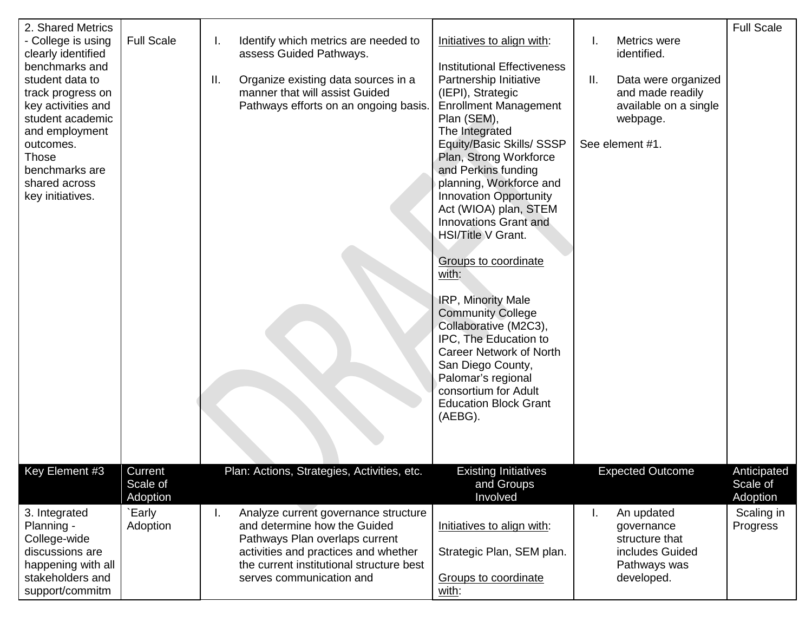| 2. Shared Metrics<br>- College is using<br>clearly identified<br>benchmarks and<br>student data to<br>track progress on<br>key activities and<br>student academic<br>and employment<br>outcomes.<br>Those<br>benchmarks are<br>shared across<br>key initiatives. | <b>Full Scale</b>              | Identify which metrics are needed to<br>I.<br>assess Guided Pathways.<br>Organize existing data sources in a<br>Ш.<br>manner that will assist Guided<br>Pathways efforts on an ongoing basis.                                | Initiatives to align with:<br><b>Institutional Effectiveness</b><br>Partnership Initiative<br>(IEPI), Strategic<br><b>Enrollment Management</b><br>Plan (SEM),<br>The Integrated<br>Equity/Basic Skills/ SSSP<br>Plan, Strong Workforce<br>and Perkins funding<br>planning, Workforce and<br><b>Innovation Opportunity</b><br>Act (WIOA) plan, STEM<br>Innovations Grant and<br><b>HSI/Title V Grant.</b><br><b>Groups to coordinate</b><br>with:<br>IRP, Minority Male<br><b>Community College</b><br>Collaborative (M2C3),<br>IPC, The Education to<br>Career Network of North<br>San Diego County,<br>Palomar's regional<br>consortium for Adult | Metrics were<br>I.<br>identified.<br>Ш.<br>Data were organized<br>and made readily<br>available on a single<br>webpage.<br>See element #1. | <b>Full Scale</b>                  |
|------------------------------------------------------------------------------------------------------------------------------------------------------------------------------------------------------------------------------------------------------------------|--------------------------------|------------------------------------------------------------------------------------------------------------------------------------------------------------------------------------------------------------------------------|-----------------------------------------------------------------------------------------------------------------------------------------------------------------------------------------------------------------------------------------------------------------------------------------------------------------------------------------------------------------------------------------------------------------------------------------------------------------------------------------------------------------------------------------------------------------------------------------------------------------------------------------------------|--------------------------------------------------------------------------------------------------------------------------------------------|------------------------------------|
| Key Element #3                                                                                                                                                                                                                                                   | Current<br>Scale of            | Plan: Actions, Strategies, Activities, etc.                                                                                                                                                                                  | <b>Education Block Grant</b><br>(AEBG).<br><b>Existing Initiatives</b><br>and Groups                                                                                                                                                                                                                                                                                                                                                                                                                                                                                                                                                                | <b>Expected Outcome</b>                                                                                                                    | Anticipated<br>Scale of            |
| 3. Integrated<br>Planning -<br>College-wide<br>discussions are<br>happening with all<br>stakeholders and<br>support/commitm                                                                                                                                      | Adoption<br>`Early<br>Adoption | Analyze current governance structure<br>L.<br>and determine how the Guided<br>Pathways Plan overlaps current<br>activities and practices and whether<br>the current institutional structure best<br>serves communication and | Involved<br>Initiatives to align with:<br>Strategic Plan, SEM plan.<br>Groups to coordinate<br>with:                                                                                                                                                                                                                                                                                                                                                                                                                                                                                                                                                | An updated<br>L.<br>governance<br>structure that<br>includes Guided<br>Pathways was<br>developed.                                          | Adoption<br>Scaling in<br>Progress |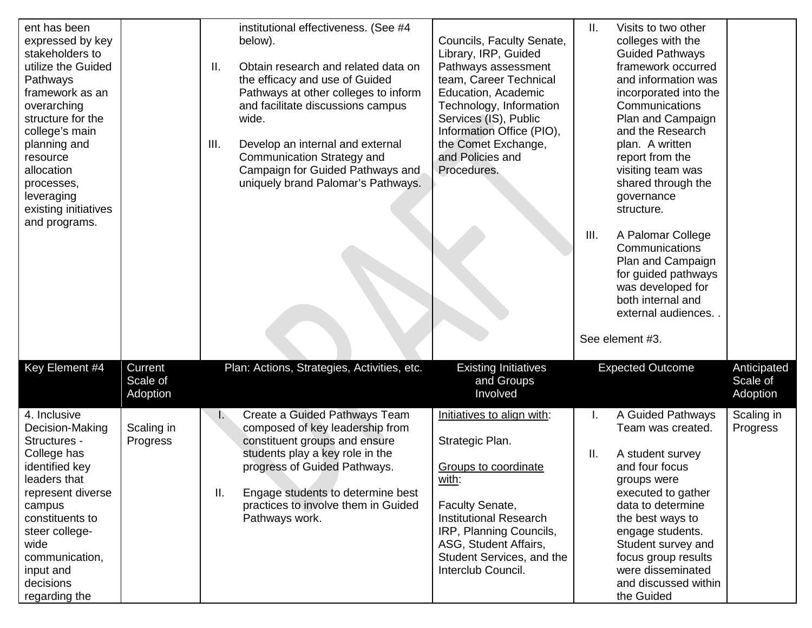| ent has been<br>expressed by key<br>stakeholders to<br>utilize the Guided<br>Pathways<br>framework as an<br>overarching<br>structure for the<br>college's main<br>planning and<br>resource<br>allocation<br>processes,<br>leveraging<br>existing initiatives<br>and programs. |                                 | institutional effectiveness. (See #4<br>below).<br>Ш.<br>Obtain research and related data on<br>the efficacy and use of Guided<br>Pathways at other colleges to inform<br>and facilitate discussions campus<br>wide.<br>III.<br>Develop an internal and external<br>Communication Strategy and<br>Campaign for Guided Pathways and<br>uniquely brand Palomar's Pathways. | Councils, Faculty Senate,<br>Library, IRP, Guided<br>Pathways assessment<br>team, Career Technical<br>Education, Academic<br>Technology, Information<br>Services (IS), Public<br>Information Office (PIO),<br>the Comet Exchange,<br>and Policies and<br>Procedures. | Ш.<br>III. | Visits to two other<br>colleges with the<br><b>Guided Pathways</b><br>framework occurred<br>and information was<br>incorporated into the<br>Communications<br>Plan and Campaign<br>and the Research<br>plan. A written<br>report from the<br>visiting team was<br>shared through the<br>governance<br>structure.<br>A Palomar College<br>Communications<br>Plan and Campaign<br>for guided pathways<br>was developed for<br>both internal and<br>external audiences.<br>See element #3. |                                     |
|-------------------------------------------------------------------------------------------------------------------------------------------------------------------------------------------------------------------------------------------------------------------------------|---------------------------------|--------------------------------------------------------------------------------------------------------------------------------------------------------------------------------------------------------------------------------------------------------------------------------------------------------------------------------------------------------------------------|----------------------------------------------------------------------------------------------------------------------------------------------------------------------------------------------------------------------------------------------------------------------|------------|-----------------------------------------------------------------------------------------------------------------------------------------------------------------------------------------------------------------------------------------------------------------------------------------------------------------------------------------------------------------------------------------------------------------------------------------------------------------------------------------|-------------------------------------|
| Key Element #4                                                                                                                                                                                                                                                                | Current<br>Scale of<br>Adoption | Plan: Actions, Strategies, Activities, etc.                                                                                                                                                                                                                                                                                                                              | <b>Existing Initiatives</b><br>and Groups<br>Involved                                                                                                                                                                                                                |            | <b>Expected Outcome</b>                                                                                                                                                                                                                                                                                                                                                                                                                                                                 | Anticipated<br>Scale of<br>Adoption |
| 4. Inclusive<br>Decision-Making<br>Structures -<br>College has<br>identified key<br>leaders that<br>represent diverse<br>campus<br>constituents to<br>steer college-<br>wide<br>communication,<br>input and<br>decisions<br>regarding the                                     | Scaling in<br>Progress          | Create a Guided Pathways Team<br>$\mathbb{R}$<br>composed of key leadership from<br>constituent groups and ensure<br>students play a key role in the<br>progress of Guided Pathways.<br>Ⅱ.<br>Engage students to determine best<br>practices to involve them in Guided<br>Pathways work.                                                                                 | Initiatives to align with:<br>Strategic Plan.<br>Groups to coordinate<br>with:<br><b>Faculty Senate,</b><br><b>Institutional Research</b><br>IRP, Planning Councils,<br>ASG, Student Affairs,<br>Student Services, and the<br>Interclub Council.                     | Ш.         | A Guided Pathways<br>Team was created.<br>A student survey<br>and four focus<br>groups were<br>executed to gather<br>data to determine<br>the best ways to<br>engage students.<br>Student survey and<br>focus group results<br>were disseminated<br>and discussed within<br>the Guided                                                                                                                                                                                                  | Scaling in<br>Progress              |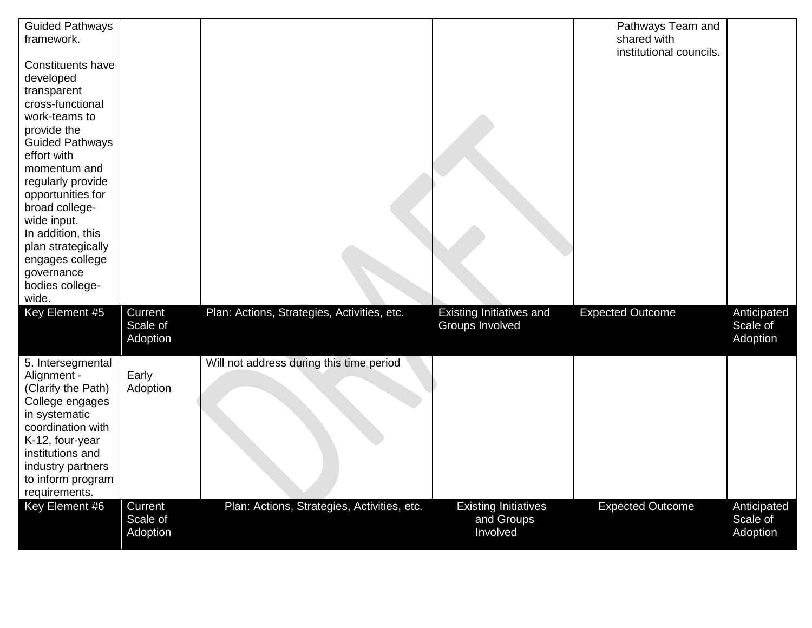| <b>Guided Pathways</b><br>framework.                                                                                                                                                                                                                                                                                                                 |                                 |                                             |                                                       | Pathways Team and<br>shared with |                                     |
|------------------------------------------------------------------------------------------------------------------------------------------------------------------------------------------------------------------------------------------------------------------------------------------------------------------------------------------------------|---------------------------------|---------------------------------------------|-------------------------------------------------------|----------------------------------|-------------------------------------|
| <b>Constituents have</b><br>developed<br>transparent<br>cross-functional<br>work-teams to<br>provide the<br><b>Guided Pathways</b><br>effort with<br>momentum and<br>regularly provide<br>opportunities for<br>broad college-<br>wide input.<br>In addition, this<br>plan strategically<br>engages college<br>governance<br>bodies college-<br>wide. |                                 |                                             |                                                       | institutional councils.          |                                     |
| Key Element #5                                                                                                                                                                                                                                                                                                                                       | Current<br>Scale of<br>Adoption | Plan: Actions, Strategies, Activities, etc. | Existing Initiatives and<br>Groups Involved           | <b>Expected Outcome</b>          | Anticipated<br>Scale of<br>Adoption |
| 5. Intersegmental<br>Alignment -<br>(Clarify the Path)<br>College engages<br>in systematic<br>coordination with<br>K-12, four-year<br>institutions and<br>industry partners<br>to inform program<br>requirements.                                                                                                                                    | Early<br>Adoption               | Will not address during this time period    |                                                       |                                  |                                     |
| Key Element #6                                                                                                                                                                                                                                                                                                                                       | Current<br>Scale of<br>Adoption | Plan: Actions, Strategies, Activities, etc. | <b>Existing Initiatives</b><br>and Groups<br>Involved | <b>Expected Outcome</b>          | Anticipated<br>Scale of<br>Adoption |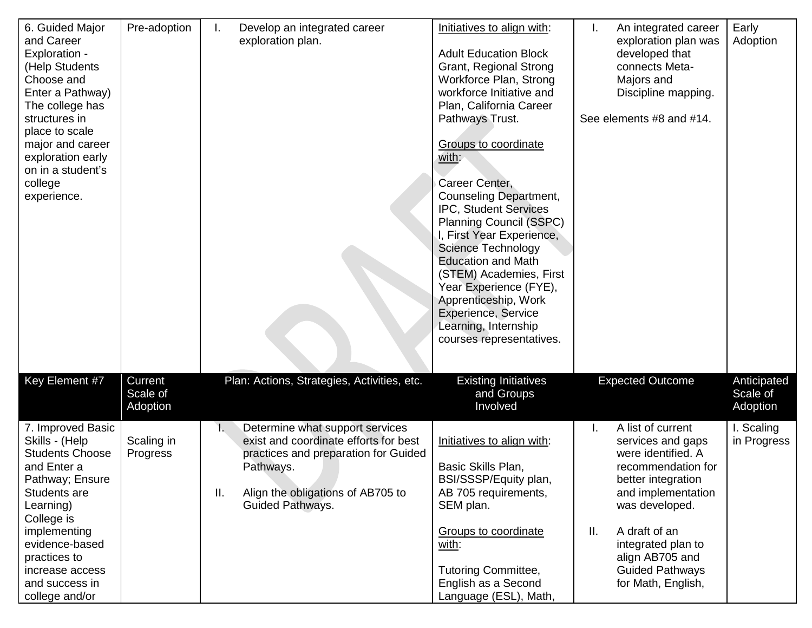| 6. Guided Major<br>and Career<br>Exploration -<br>(Help Students<br>Choose and<br>Enter a Pathway)<br>The college has<br>structures in<br>place to scale<br>major and career<br>exploration early<br>on in a student's<br>college<br>experience.    | Pre-adoption                    | Develop an integrated career<br>I.<br>exploration plan.                                                                                                                                                   | Initiatives to align with:<br><b>Adult Education Block</b><br>Grant, Regional Strong<br>Workforce Plan, Strong<br>workforce Initiative and<br>Plan, California Career<br>Pathways Trust.<br><b>Groups to coordinate</b><br>with:<br>Career Center,<br>Counseling Department,<br>IPC, Student Services<br><b>Planning Council (SSPC)</b><br>I, First Year Experience,<br><b>Science Technology</b><br><b>Education and Math</b><br>(STEM) Academies, First<br>Year Experience (FYE),<br>Apprenticeship, Work<br>Experience, Service<br>Learning, Internship<br>courses representatives. | I.<br>An integrated career<br>exploration plan was<br>developed that<br>connects Meta-<br>Majors and<br>Discipline mapping.<br>See elements #8 and #14.                                                                                                          | Early<br>Adoption                   |
|-----------------------------------------------------------------------------------------------------------------------------------------------------------------------------------------------------------------------------------------------------|---------------------------------|-----------------------------------------------------------------------------------------------------------------------------------------------------------------------------------------------------------|----------------------------------------------------------------------------------------------------------------------------------------------------------------------------------------------------------------------------------------------------------------------------------------------------------------------------------------------------------------------------------------------------------------------------------------------------------------------------------------------------------------------------------------------------------------------------------------|------------------------------------------------------------------------------------------------------------------------------------------------------------------------------------------------------------------------------------------------------------------|-------------------------------------|
| Key Element #7                                                                                                                                                                                                                                      | Current<br>Scale of<br>Adoption | Plan: Actions, Strategies, Activities, etc.                                                                                                                                                               | <b>Existing Initiatives</b><br>and Groups<br>Involved                                                                                                                                                                                                                                                                                                                                                                                                                                                                                                                                  | <b>Expected Outcome</b>                                                                                                                                                                                                                                          | Anticipated<br>Scale of<br>Adoption |
| 7. Improved Basic<br>Skills - (Help<br><b>Students Choose</b><br>and Enter a<br>Pathway; Ensure<br>Students are<br>Learning)<br>College is<br>implementing<br>evidence-based<br>practices to<br>increase access<br>and success in<br>college and/or | Scaling in<br>Progress          | Determine what support services<br>Ł.<br>exist and coordinate efforts for best<br>practices and preparation for Guided<br>Pathways.<br>Align the obligations of AB705 to<br>Ш.<br><b>Guided Pathways.</b> | Initiatives to align with:<br>Basic Skills Plan,<br>BSI/SSSP/Equity plan,<br>AB 705 requirements,<br>SEM plan.<br><b>Groups to coordinate</b><br>with:<br><b>Tutoring Committee,</b><br>English as a Second<br>Language (ESL), Math,                                                                                                                                                                                                                                                                                                                                                   | A list of current<br>services and gaps<br>were identified. A<br>recommendation for<br>better integration<br>and implementation<br>was developed.<br>A draft of an<br>Ш.<br>integrated plan to<br>align AB705 and<br><b>Guided Pathways</b><br>for Math, English, | I. Scaling<br>in Progress           |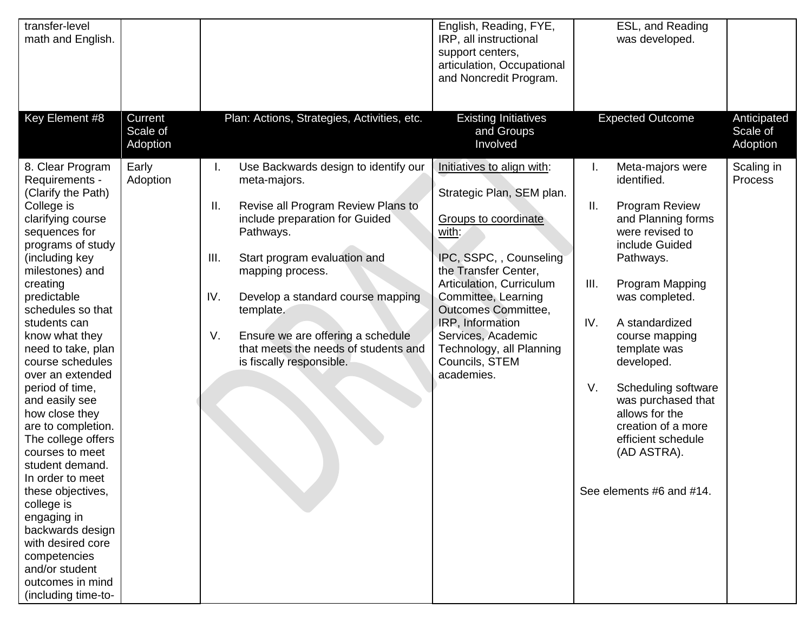| transfer-level<br>math and English.                                                                                                                                                                                                                                                                                                                                                                                                                                                                                                                                                                                                                         |                                 |                                                                                                                                                                                                                                                                                                                                                                                           | English, Reading, FYE,<br>IRP, all instructional<br>support centers,<br>articulation, Occupational<br>and Noncredit Program.                                                                                                                                                                                                       | ESL, and Reading<br>was developed.                                                                                                                                                                                                                                                                                                                                                                                      |                                     |
|-------------------------------------------------------------------------------------------------------------------------------------------------------------------------------------------------------------------------------------------------------------------------------------------------------------------------------------------------------------------------------------------------------------------------------------------------------------------------------------------------------------------------------------------------------------------------------------------------------------------------------------------------------------|---------------------------------|-------------------------------------------------------------------------------------------------------------------------------------------------------------------------------------------------------------------------------------------------------------------------------------------------------------------------------------------------------------------------------------------|------------------------------------------------------------------------------------------------------------------------------------------------------------------------------------------------------------------------------------------------------------------------------------------------------------------------------------|-------------------------------------------------------------------------------------------------------------------------------------------------------------------------------------------------------------------------------------------------------------------------------------------------------------------------------------------------------------------------------------------------------------------------|-------------------------------------|
| Key Element #8                                                                                                                                                                                                                                                                                                                                                                                                                                                                                                                                                                                                                                              | Current<br>Scale of<br>Adoption | Plan: Actions, Strategies, Activities, etc.                                                                                                                                                                                                                                                                                                                                               | <b>Existing Initiatives</b><br>and Groups<br>Involved                                                                                                                                                                                                                                                                              | <b>Expected Outcome</b>                                                                                                                                                                                                                                                                                                                                                                                                 | Anticipated<br>Scale of<br>Adoption |
| 8. Clear Program<br>Requirements -<br>(Clarify the Path)<br>College is<br>clarifying course<br>sequences for<br>programs of study<br>(including key<br>milestones) and<br>creating<br>predictable<br>schedules so that<br>students can<br>know what they<br>need to take, plan<br>course schedules<br>over an extended<br>period of time,<br>and easily see<br>how close they<br>are to completion.<br>The college offers<br>courses to meet<br>student demand.<br>In order to meet<br>these objectives,<br>college is<br>engaging in<br>backwards design<br>with desired core<br>competencies<br>and/or student<br>outcomes in mind<br>(including time-to- | Early<br>Adoption               | Use Backwards design to identify our<br>ı.<br>meta-majors.<br>Revise all Program Review Plans to<br>Ш.<br>include preparation for Guided<br>Pathways.<br>III.<br>Start program evaluation and<br>mapping process.<br>IV.<br>Develop a standard course mapping<br>template.<br>V.<br>Ensure we are offering a schedule<br>that meets the needs of students and<br>is fiscally responsible. | Initiatives to align with:<br>Strategic Plan, SEM plan.<br>Groups to coordinate<br>with:<br>IPC, SSPC, , Counseling<br>the Transfer Center,<br>Articulation, Curriculum<br>Committee, Learning<br><b>Outcomes Committee,</b><br>IRP, Information<br>Services, Academic<br>Technology, all Planning<br>Councils, STEM<br>academies. | Meta-majors were<br>Ι.<br>identified.<br>Ш.<br>Program Review<br>and Planning forms<br>were revised to<br>include Guided<br>Pathways.<br>III.<br>Program Mapping<br>was completed.<br>IV.<br>A standardized<br>course mapping<br>template was<br>developed.<br>V.<br>Scheduling software<br>was purchased that<br>allows for the<br>creation of a more<br>efficient schedule<br>(AD ASTRA).<br>See elements #6 and #14. | Scaling in<br>Process               |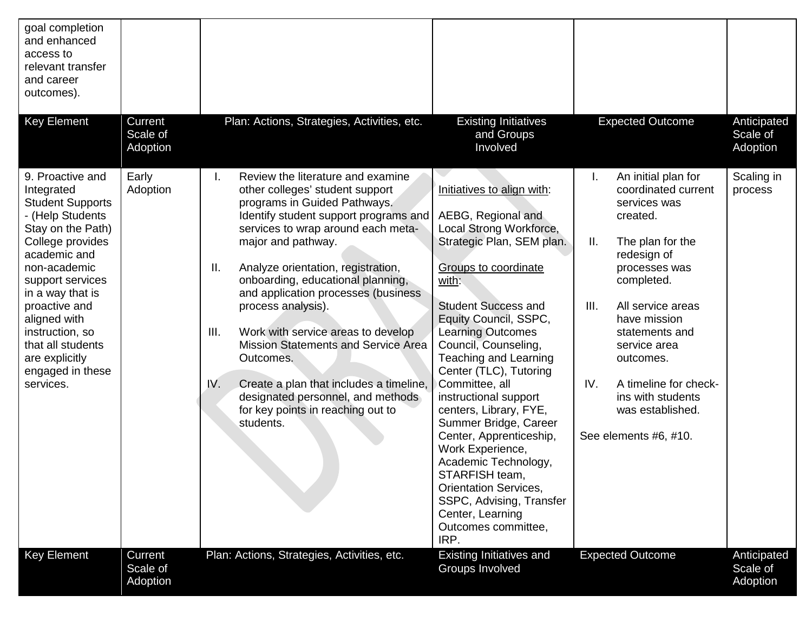| goal completion<br>and enhanced<br>access to<br>relevant transfer<br>and career<br>outcomes).                                                                                                                                                                                                                              |                                 |                                                                                                                                                                                                                                                                                                                                                                                                                                                                                                                                                                                                    |                                                                                                                                                                                                                                                                                                                                                                                                                                                                                                                                                                                                                             |                                                                                                                                                                                                                                                                                                                                                    |                                     |
|----------------------------------------------------------------------------------------------------------------------------------------------------------------------------------------------------------------------------------------------------------------------------------------------------------------------------|---------------------------------|----------------------------------------------------------------------------------------------------------------------------------------------------------------------------------------------------------------------------------------------------------------------------------------------------------------------------------------------------------------------------------------------------------------------------------------------------------------------------------------------------------------------------------------------------------------------------------------------------|-----------------------------------------------------------------------------------------------------------------------------------------------------------------------------------------------------------------------------------------------------------------------------------------------------------------------------------------------------------------------------------------------------------------------------------------------------------------------------------------------------------------------------------------------------------------------------------------------------------------------------|----------------------------------------------------------------------------------------------------------------------------------------------------------------------------------------------------------------------------------------------------------------------------------------------------------------------------------------------------|-------------------------------------|
| <b>Key Element</b>                                                                                                                                                                                                                                                                                                         | Current<br>Scale of<br>Adoption | Plan: Actions, Strategies, Activities, etc.                                                                                                                                                                                                                                                                                                                                                                                                                                                                                                                                                        | <b>Existing Initiatives</b><br>and Groups<br>Involved                                                                                                                                                                                                                                                                                                                                                                                                                                                                                                                                                                       | <b>Expected Outcome</b>                                                                                                                                                                                                                                                                                                                            | Anticipated<br>Scale of<br>Adoption |
| 9. Proactive and<br>Integrated<br><b>Student Supports</b><br>- (Help Students<br>Stay on the Path)<br>College provides<br>academic and<br>non-academic<br>support services<br>in a way that is<br>proactive and<br>aligned with<br>instruction, so<br>that all students<br>are explicitly<br>engaged in these<br>services. | Early<br>Adoption               | Review the literature and examine<br>other colleges' student support<br>programs in Guided Pathways.<br>Identify student support programs and<br>services to wrap around each meta-<br>major and pathway.<br>Analyze orientation, registration,<br>Ш.<br>onboarding, educational planning,<br>and application processes (business<br>process analysis).<br>III.<br>Work with service areas to develop<br>Mission Statements and Service Area<br>Outcomes.<br>IV.<br>Create a plan that includes a timeline,<br>designated personnel, and methods<br>for key points in reaching out to<br>students. | Initiatives to align with:<br>AEBG, Regional and<br>Local Strong Workforce,<br>Strategic Plan, SEM plan.<br><b>Groups to coordinate</b><br>with:<br><b>Student Success and</b><br>Equity Council, SSPC,<br><b>Learning Outcomes</b><br>Council, Counseling,<br><b>Teaching and Learning</b><br>Center (TLC), Tutoring<br>Committee, all<br>instructional support<br>centers, Library, FYE,<br>Summer Bridge, Career<br>Center, Apprenticeship,<br>Work Experience,<br>Academic Technology,<br>STARFISH team,<br><b>Orientation Services,</b><br>SSPC, Advising, Transfer<br>Center, Learning<br>Outcomes committee,<br>IRP. | An initial plan for<br>I.<br>coordinated current<br>services was<br>created.<br>Ш.<br>The plan for the<br>redesign of<br>processes was<br>completed.<br>III.<br>All service areas<br>have mission<br>statements and<br>service area<br>outcomes.<br>IV.<br>A timeline for check-<br>ins with students<br>was established.<br>See elements #6, #10. | Scaling in<br>process               |
| <b>Key Element</b>                                                                                                                                                                                                                                                                                                         | Current<br>Scale of<br>Adoption | Plan: Actions, Strategies, Activities, etc.                                                                                                                                                                                                                                                                                                                                                                                                                                                                                                                                                        | <b>Existing Initiatives and</b><br>Groups Involved                                                                                                                                                                                                                                                                                                                                                                                                                                                                                                                                                                          | <b>Expected Outcome</b>                                                                                                                                                                                                                                                                                                                            | Anticipated<br>Scale of<br>Adoption |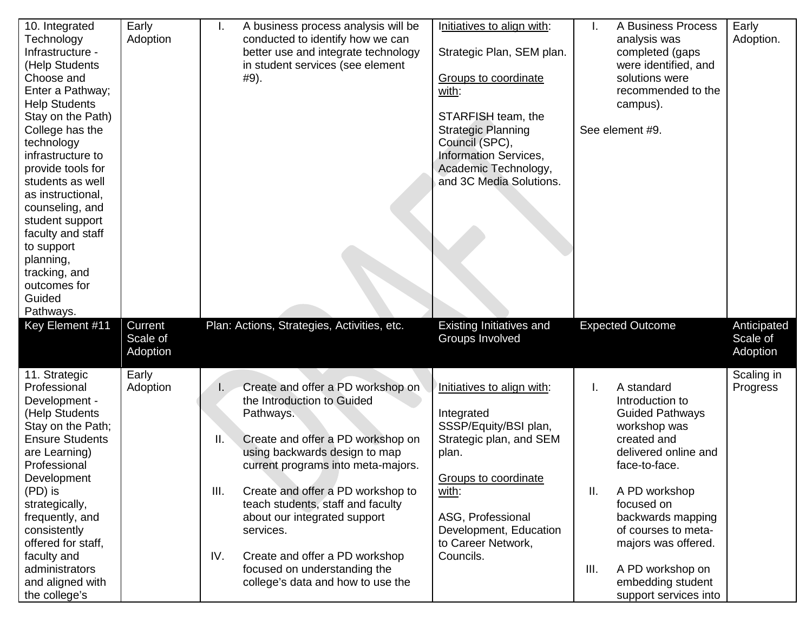| 10. Integrated<br>Technology<br>Infrastructure -<br>(Help Students<br>Choose and<br>Enter a Pathway;<br><b>Help Students</b><br>Stay on the Path)<br>College has the<br>technology<br>infrastructure to<br>provide tools for<br>students as well<br>as instructional,<br>counseling, and<br>student support<br>faculty and staff<br>to support<br>planning,<br>tracking, and<br>outcomes for<br>Guided<br>Pathways. | Early<br>Adoption               | A business process analysis will be<br>ı.<br>conducted to identify how we can<br>better use and integrate technology<br>in student services (see element<br>#9).                                                                                                                                                                                                                                                                                  | Initiatives to align with:<br>Strategic Plan, SEM plan.<br>Groups to coordinate<br>with:<br>STARFISH team, the<br><b>Strategic Planning</b><br>Council (SPC),<br><b>Information Services,</b><br>Academic Technology,<br>and 3C Media Solutions. | A Business Process<br>Ι.<br>analysis was<br>completed (gaps<br>were identified, and<br>solutions were<br>recommended to the<br>campus).<br>See element #9.                                                                                                                                                              | Early<br>Adoption.                  |
|---------------------------------------------------------------------------------------------------------------------------------------------------------------------------------------------------------------------------------------------------------------------------------------------------------------------------------------------------------------------------------------------------------------------|---------------------------------|---------------------------------------------------------------------------------------------------------------------------------------------------------------------------------------------------------------------------------------------------------------------------------------------------------------------------------------------------------------------------------------------------------------------------------------------------|--------------------------------------------------------------------------------------------------------------------------------------------------------------------------------------------------------------------------------------------------|-------------------------------------------------------------------------------------------------------------------------------------------------------------------------------------------------------------------------------------------------------------------------------------------------------------------------|-------------------------------------|
| Key Element #11                                                                                                                                                                                                                                                                                                                                                                                                     | Current<br>Scale of<br>Adoption | Plan: Actions, Strategies, Activities, etc.                                                                                                                                                                                                                                                                                                                                                                                                       | Existing Initiatives and<br>Groups Involved                                                                                                                                                                                                      | <b>Expected Outcome</b>                                                                                                                                                                                                                                                                                                 | Anticipated<br>Scale of<br>Adoption |
| 11. Strategic<br>Professional<br>Development -<br>(Help Students<br>Stay on the Path;<br><b>Ensure Students</b><br>are Learning)<br>Professional<br>Development<br>(PD) is<br>strategically,<br>frequently, and<br>consistently<br>offered for staff,<br>faculty and<br>administrators<br>and aligned with<br>the college's                                                                                         | Early<br>Adoption               | Create and offer a PD workshop on<br>I.<br>the Introduction to Guided<br>Pathways.<br>Create and offer a PD workshop on<br>Ш.<br>using backwards design to map<br>current programs into meta-majors.<br>Create and offer a PD workshop to<br>III.<br>teach students, staff and faculty<br>about our integrated support<br>services.<br>IV.<br>Create and offer a PD workshop<br>focused on understanding the<br>college's data and how to use the | Initiatives to align with:<br>Integrated<br>SSSP/Equity/BSI plan,<br>Strategic plan, and SEM<br>plan.<br><b>Groups to coordinate</b><br>with:<br>ASG, Professional<br>Development, Education<br>to Career Network,<br>Councils.                  | A standard<br>Ι.<br>Introduction to<br><b>Guided Pathways</b><br>workshop was<br>created and<br>delivered online and<br>face-to-face.<br>Ш.<br>A PD workshop<br>focused on<br>backwards mapping<br>of courses to meta-<br>majors was offered.<br>A PD workshop on<br>III.<br>embedding student<br>support services into | Scaling in<br>Progress              |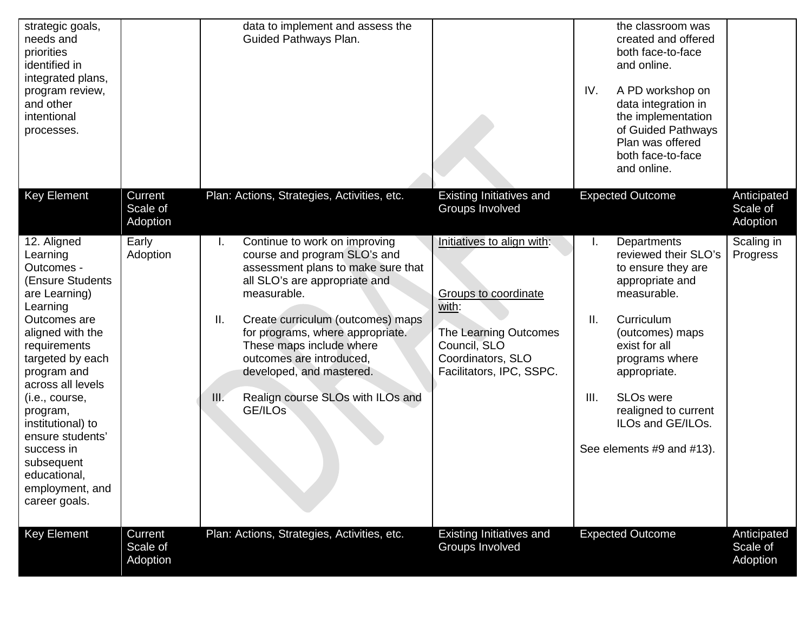| strategic goals,<br>needs and<br>priorities<br>identified in<br>integrated plans,<br>program review,<br>and other<br>intentional<br>processes.                                                                                                                                                                                                             |                                 | data to implement and assess the<br>Guided Pathways Plan.                                                                                                                                                                                                                                                                                                                            |                                                                                                                                                              | the classroom was<br>created and offered<br>both face-to-face<br>and online.<br>IV.<br>A PD workshop on<br>data integration in<br>the implementation<br>of Guided Pathways<br>Plan was offered<br>both face-to-face<br>and online.                                                                 |                                     |
|------------------------------------------------------------------------------------------------------------------------------------------------------------------------------------------------------------------------------------------------------------------------------------------------------------------------------------------------------------|---------------------------------|--------------------------------------------------------------------------------------------------------------------------------------------------------------------------------------------------------------------------------------------------------------------------------------------------------------------------------------------------------------------------------------|--------------------------------------------------------------------------------------------------------------------------------------------------------------|----------------------------------------------------------------------------------------------------------------------------------------------------------------------------------------------------------------------------------------------------------------------------------------------------|-------------------------------------|
| <b>Key Element</b>                                                                                                                                                                                                                                                                                                                                         | Current<br>Scale of<br>Adoption | Plan: Actions, Strategies, Activities, etc.                                                                                                                                                                                                                                                                                                                                          | Existing Initiatives and<br>Groups Involved                                                                                                                  | <b>Expected Outcome</b>                                                                                                                                                                                                                                                                            | Anticipated<br>Scale of<br>Adoption |
| 12. Aligned<br>Learning<br>Outcomes -<br>(Ensure Students)<br>are Learning)<br>Learning<br>Outcomes are<br>aligned with the<br>requirements<br>targeted by each<br>program and<br>across all levels<br>(i.e., course,<br>program,<br>institutional) to<br>ensure students'<br>success in<br>subsequent<br>educational,<br>employment, and<br>career goals. | Early<br>Adoption               | Continue to work on improving<br>I.<br>course and program SLO's and<br>assessment plans to make sure that<br>all SLO's are appropriate and<br>measurable.<br>Ⅱ.<br>Create curriculum (outcomes) maps<br>for programs, where appropriate.<br>These maps include where<br>outcomes are introduced,<br>developed, and mastered.<br>Realign course SLOs with ILOs and<br>III.<br>GE/ILOs | Initiatives to align with:<br><b>Groups to coordinate</b><br>with:<br>The Learning Outcomes<br>Council, SLO<br>Coordinators, SLO<br>Facilitators, IPC, SSPC. | Departments<br>Ι.<br>reviewed their SLO's<br>to ensure they are<br>appropriate and<br>measurable.<br>II.<br>Curriculum<br>(outcomes) maps<br>exist for all<br>programs where<br>appropriate.<br><b>SLOs were</b><br>III.<br>realigned to current<br>ILOs and GE/ILOs.<br>See elements #9 and #13). | Scaling in<br>Progress              |
| <b>Key Element</b>                                                                                                                                                                                                                                                                                                                                         | Current<br>Scale of<br>Adoption | Plan: Actions, Strategies, Activities, etc.                                                                                                                                                                                                                                                                                                                                          | Existing Initiatives and<br>Groups Involved                                                                                                                  | <b>Expected Outcome</b>                                                                                                                                                                                                                                                                            | Anticipated<br>Scale of<br>Adoption |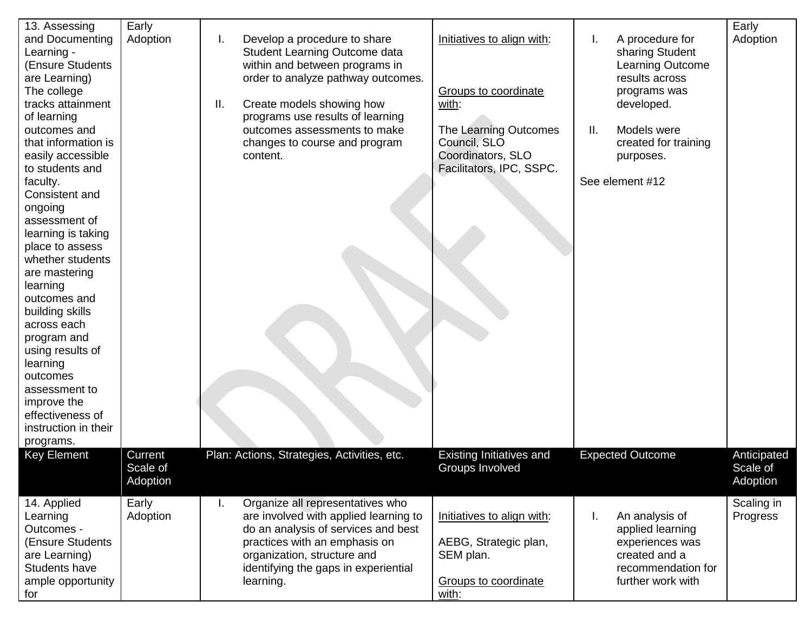| 13. Assessing<br>and Documenting<br>Learning -<br>(Ensure Students<br>are Learning)<br>The college<br>tracks attainment<br>of learning<br>outcomes and<br>that information is<br>easily accessible<br>to students and<br>faculty.<br>Consistent and<br>ongoing<br>assessment of<br>learning is taking<br>place to assess<br>whether students<br>are mastering<br>learning<br>outcomes and<br>building skills<br>across each<br>program and<br>using results of<br>learning<br>outcomes<br>assessment to<br>improve the<br>effectiveness of<br>instruction in their | Early<br>Adoption               | Develop a procedure to share<br>I.<br>Student Learning Outcome data<br>within and between programs in<br>order to analyze pathway outcomes.<br>Ш.<br>Create models showing how<br>programs use results of learning<br>outcomes assessments to make<br>changes to course and program<br>content. | Initiatives to align with:<br>Groups to coordinate<br>with:<br>The Learning Outcomes<br>Council, SLO<br>Coordinators, SLO<br>Facilitators, IPC, SSPC. | A procedure for<br>I.<br>sharing Student<br>Learning Outcome<br>results across<br>programs was<br>developed.<br>Models were<br>Ш.<br>created for training<br>purposes.<br>See element #12 | Early<br>Adoption                   |
|--------------------------------------------------------------------------------------------------------------------------------------------------------------------------------------------------------------------------------------------------------------------------------------------------------------------------------------------------------------------------------------------------------------------------------------------------------------------------------------------------------------------------------------------------------------------|---------------------------------|-------------------------------------------------------------------------------------------------------------------------------------------------------------------------------------------------------------------------------------------------------------------------------------------------|-------------------------------------------------------------------------------------------------------------------------------------------------------|-------------------------------------------------------------------------------------------------------------------------------------------------------------------------------------------|-------------------------------------|
| programs.                                                                                                                                                                                                                                                                                                                                                                                                                                                                                                                                                          |                                 |                                                                                                                                                                                                                                                                                                 |                                                                                                                                                       |                                                                                                                                                                                           |                                     |
| <b>Key Element</b>                                                                                                                                                                                                                                                                                                                                                                                                                                                                                                                                                 | Current<br>Scale of<br>Adoption | Plan: Actions, Strategies, Activities, etc.                                                                                                                                                                                                                                                     | <b>Existing Initiatives and</b><br><b>Groups Involved</b>                                                                                             | <b>Expected Outcome</b>                                                                                                                                                                   | Anticipated<br>Scale of<br>Adoption |
| 14. Applied<br>Learning<br>Outcomes -<br>(Ensure Students<br>are Learning)<br>Students have<br>ample opportunity<br>for                                                                                                                                                                                                                                                                                                                                                                                                                                            | Early<br>Adoption               | Organize all representatives who<br>I.<br>are involved with applied learning to<br>do an analysis of services and best<br>practices with an emphasis on<br>organization, structure and<br>identifying the gaps in experiential<br>learning.                                                     | Initiatives to align with:<br>AEBG, Strategic plan,<br>SEM plan.<br>Groups to coordinate<br>with:                                                     | An analysis of<br>I.<br>applied learning<br>experiences was<br>created and a<br>recommendation for<br>further work with                                                                   | Scaling in<br>Progress              |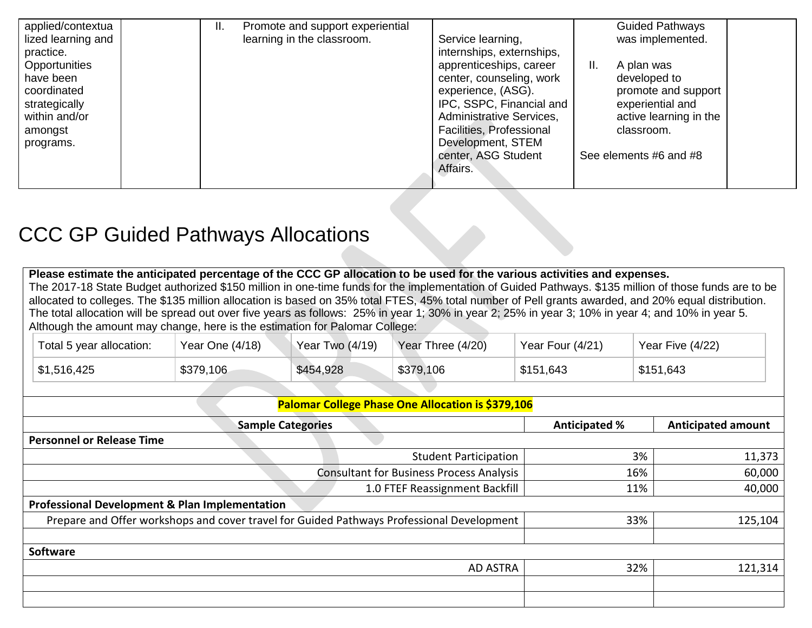| applied/contextua  | II. | Promote and support experiential |                           |    | <b>Guided Pathways</b> |  |
|--------------------|-----|----------------------------------|---------------------------|----|------------------------|--|
| lized learning and |     | learning in the classroom.       | Service learning,         |    | was implemented.       |  |
| practice.          |     |                                  | internships, externships, |    |                        |  |
| Opportunities      |     |                                  | apprenticeships, career   | Ш. | A plan was             |  |
| have been          |     |                                  | center, counseling, work  |    | developed to           |  |
| coordinated        |     |                                  | experience, (ASG).        |    | promote and support    |  |
| strategically      |     |                                  | IPC, SSPC, Financial and  |    | experiential and       |  |
| within and/or      |     |                                  | Administrative Services,  |    | active learning in the |  |
| amongst            |     |                                  | Facilities, Professional  |    | classroom.             |  |
| programs.          |     |                                  | Development, STEM         |    |                        |  |
|                    |     |                                  | center, ASG Student       |    | See elements #6 and #8 |  |
|                    |     |                                  | Affairs.                  |    |                        |  |
|                    |     |                                  |                           |    |                        |  |

## <span id="page-13-0"></span>CCC GP Guided Pathways Allocations

| Please estimate the anticipated percentage of the CCC GP allocation to be used for the various activities and expenses.<br>The 2017-18 State Budget authorized \$150 million in one-time funds for the implementation of Guided Pathways. \$135 million of those funds are to be<br>allocated to colleges. The \$135 million allocation is based on 35% total FTES, 45% total number of Pell grants awarded, and 20% equal distribution.<br>The total allocation will be spread out over five years as follows: 25% in year 1; 30% in year 2; 25% in year 3; 10% in year 4; and 10% in year 5.<br>Although the amount may change, here is the estimation for Palomar College: |                   |                          |                                                   |                      |    |                           |  |
|-------------------------------------------------------------------------------------------------------------------------------------------------------------------------------------------------------------------------------------------------------------------------------------------------------------------------------------------------------------------------------------------------------------------------------------------------------------------------------------------------------------------------------------------------------------------------------------------------------------------------------------------------------------------------------|-------------------|--------------------------|---------------------------------------------------|----------------------|----|---------------------------|--|
| Total 5 year allocation:                                                                                                                                                                                                                                                                                                                                                                                                                                                                                                                                                                                                                                                      | Year One $(4/18)$ | Year Two (4/19)          | Year Three (4/20)                                 | Year Four (4/21)     |    | Year Five (4/22)          |  |
| \$1,516,425                                                                                                                                                                                                                                                                                                                                                                                                                                                                                                                                                                                                                                                                   | \$379,106         | \$454,928                | \$379,106                                         | \$151,643            |    | \$151,643                 |  |
|                                                                                                                                                                                                                                                                                                                                                                                                                                                                                                                                                                                                                                                                               |                   |                          |                                                   |                      |    |                           |  |
|                                                                                                                                                                                                                                                                                                                                                                                                                                                                                                                                                                                                                                                                               |                   |                          | Palomar College Phase One Allocation is \$379,106 |                      |    |                           |  |
|                                                                                                                                                                                                                                                                                                                                                                                                                                                                                                                                                                                                                                                                               |                   | <b>Sample Categories</b> |                                                   | <b>Anticipated %</b> |    | <b>Anticipated amount</b> |  |
| <b>Personnel or Release Time</b>                                                                                                                                                                                                                                                                                                                                                                                                                                                                                                                                                                                                                                              |                   |                          |                                                   |                      |    |                           |  |
|                                                                                                                                                                                                                                                                                                                                                                                                                                                                                                                                                                                                                                                                               |                   |                          | <b>Student Participation</b>                      |                      | 3% | 11,373                    |  |
| <b>Consultant for Business Process Analysis</b><br>16%                                                                                                                                                                                                                                                                                                                                                                                                                                                                                                                                                                                                                        |                   |                          | 60,000                                            |                      |    |                           |  |
| 1.0 FTEF Reassignment Backfill<br>40,000<br>11%                                                                                                                                                                                                                                                                                                                                                                                                                                                                                                                                                                                                                               |                   |                          |                                                   |                      |    |                           |  |
| <b>Drofoccional Dovalonment <sup>0</sup> Dlan Implementation</b>                                                                                                                                                                                                                                                                                                                                                                                                                                                                                                                                                                                                              |                   |                          |                                                   |                      |    |                           |  |

| <b>Professional Development &amp; Plan Implementation</b>                                 |     |         |
|-------------------------------------------------------------------------------------------|-----|---------|
| Prepare and Offer workshops and cover travel for Guided Pathways Professional Development | 33% | 125,104 |
|                                                                                           |     |         |
| Software                                                                                  |     |         |
| AD ASTRA                                                                                  | 32% | 121,314 |
|                                                                                           |     |         |
|                                                                                           |     |         |